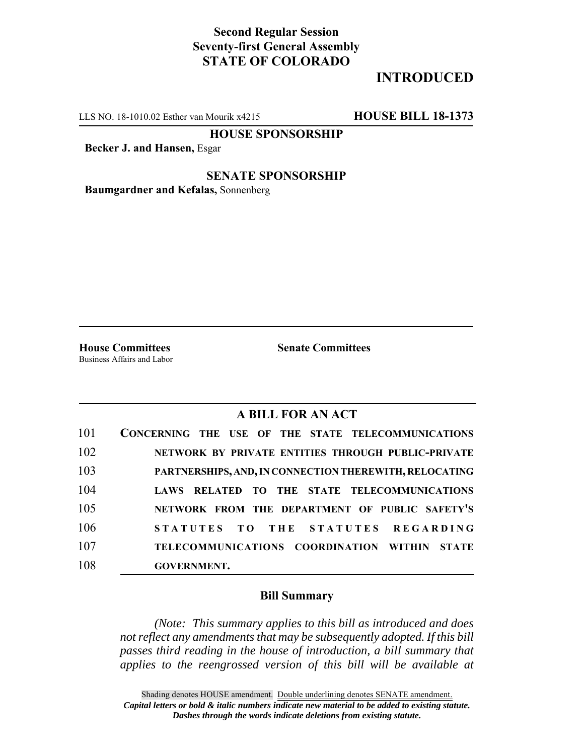## **Second Regular Session Seventy-first General Assembly STATE OF COLORADO**

# **INTRODUCED**

LLS NO. 18-1010.02 Esther van Mourik x4215 **HOUSE BILL 18-1373**

**HOUSE SPONSORSHIP**

**Becker J. and Hansen,** Esgar

### **SENATE SPONSORSHIP**

**Baumgardner and Kefalas,** Sonnenberg

Business Affairs and Labor

**House Committees Senate Committees** 

## **A BILL FOR AN ACT**

| 101 | CONCERNING THE USE OF THE STATE TELECOMMUNICATIONS     |
|-----|--------------------------------------------------------|
| 102 | NETWORK BY PRIVATE ENTITIES THROUGH PUBLIC-PRIVATE     |
| 103 | PARTNERSHIPS, AND, IN CONNECTION THEREWITH, RELOCATING |
| 104 | LAWS RELATED TO THE STATE TELECOMMUNICATIONS           |
| 105 | NETWORK FROM THE DEPARTMENT OF PUBLIC SAFETY'S         |
| 106 | STATUTES TO THE STATUTES REGARDING                     |
| 107 | TELECOMMUNICATIONS COORDINATION WITHIN<br><b>STATE</b> |
| 108 | <b>GOVERNMENT.</b>                                     |

#### **Bill Summary**

*(Note: This summary applies to this bill as introduced and does not reflect any amendments that may be subsequently adopted. If this bill passes third reading in the house of introduction, a bill summary that applies to the reengrossed version of this bill will be available at*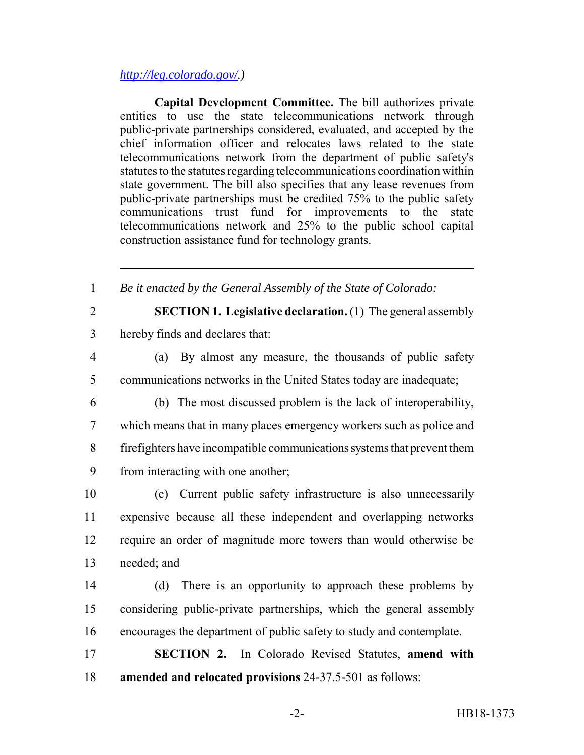### *http://leg.colorado.gov/.)*

**Capital Development Committee.** The bill authorizes private entities to use the state telecommunications network through public-private partnerships considered, evaluated, and accepted by the chief information officer and relocates laws related to the state telecommunications network from the department of public safety's statutes to the statutes regarding telecommunications coordination within state government. The bill also specifies that any lease revenues from public-private partnerships must be credited 75% to the public safety communications trust fund for improvements to the state telecommunications network and 25% to the public school capital construction assistance fund for technology grants.

1 *Be it enacted by the General Assembly of the State of Colorado:*

2 **SECTION 1. Legislative declaration.** (1) The general assembly 3 hereby finds and declares that:

4 (a) By almost any measure, the thousands of public safety 5 communications networks in the United States today are inadequate;

 (b) The most discussed problem is the lack of interoperability, which means that in many places emergency workers such as police and firefighters have incompatible communications systems that prevent them from interacting with one another;

 (c) Current public safety infrastructure is also unnecessarily expensive because all these independent and overlapping networks require an order of magnitude more towers than would otherwise be needed; and

14 (d) There is an opportunity to approach these problems by 15 considering public-private partnerships, which the general assembly 16 encourages the department of public safety to study and contemplate.

17 **SECTION 2.** In Colorado Revised Statutes, **amend with** 18 **amended and relocated provisions** 24-37.5-501 as follows: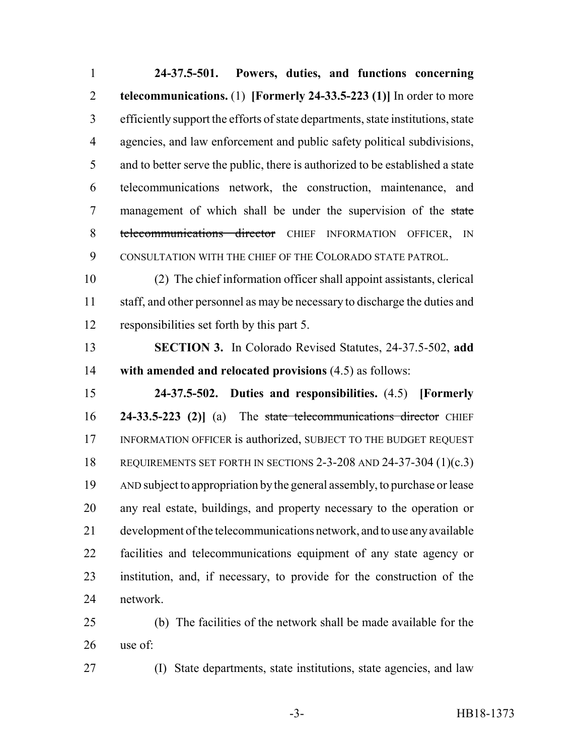**24-37.5-501. Powers, duties, and functions concerning telecommunications.** (1) **[Formerly 24-33.5-223 (1)]** In order to more efficiently support the efforts of state departments, state institutions, state agencies, and law enforcement and public safety political subdivisions, and to better serve the public, there is authorized to be established a state telecommunications network, the construction, maintenance, and 7 management of which shall be under the supervision of the state 8 telecommunications director CHIEF INFORMATION OFFICER, IN CONSULTATION WITH THE CHIEF OF THE COLORADO STATE PATROL.

 (2) The chief information officer shall appoint assistants, clerical staff, and other personnel as may be necessary to discharge the duties and responsibilities set forth by this part 5.

 **SECTION 3.** In Colorado Revised Statutes, 24-37.5-502, **add with amended and relocated provisions** (4.5) as follows:

 **24-37.5-502. Duties and responsibilities.** (4.5) **[Formerly 24-33.5-223 (2)]** (a) The state telecommunications director CHIEF 17 INFORMATION OFFICER is authorized, SUBJECT TO THE BUDGET REQUEST REQUIREMENTS SET FORTH IN SECTIONS 2-3-208 AND 24-37-304 (1)(c.3) AND subject to appropriation by the general assembly, to purchase or lease any real estate, buildings, and property necessary to the operation or development of the telecommunications network, and to use any available facilities and telecommunications equipment of any state agency or institution, and, if necessary, to provide for the construction of the network.

 (b) The facilities of the network shall be made available for the use of:

(I) State departments, state institutions, state agencies, and law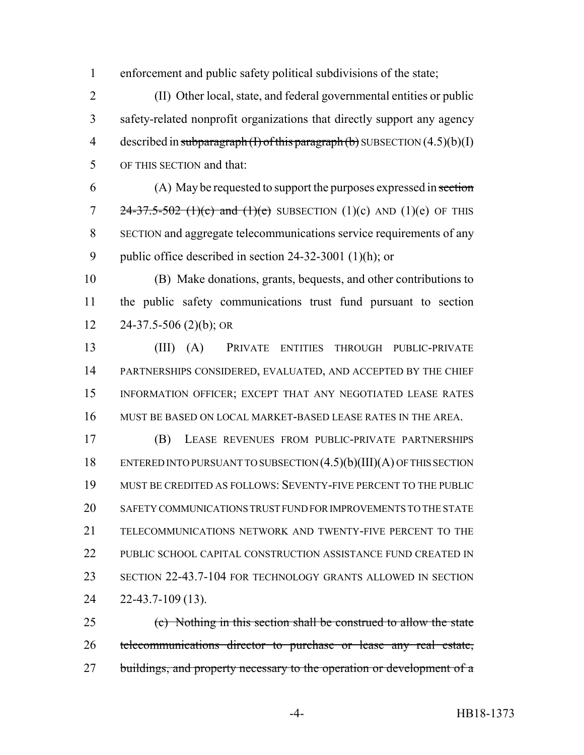enforcement and public safety political subdivisions of the state;

 (II) Other local, state, and federal governmental entities or public safety-related nonprofit organizations that directly support any agency 4 described in subparagraph  $(H)$  of this paragraph  $(b)$  SUBSECTION  $(4.5)(b)(I)$ OF THIS SECTION and that:

 (A) May be requested to support the purposes expressed in section 7 24-37.5-502 (1)(c) and (1)(e) SUBSECTION (1)(c) AND (1)(e) OF THIS SECTION and aggregate telecommunications service requirements of any public office described in section 24-32-3001 (1)(h); or

 (B) Make donations, grants, bequests, and other contributions to the public safety communications trust fund pursuant to section 24-37.5-506 (2)(b); OR

 (III) (A) PRIVATE ENTITIES THROUGH PUBLIC-PRIVATE PARTNERSHIPS CONSIDERED, EVALUATED, AND ACCEPTED BY THE CHIEF INFORMATION OFFICER; EXCEPT THAT ANY NEGOTIATED LEASE RATES MUST BE BASED ON LOCAL MARKET-BASED LEASE RATES IN THE AREA.

 (B) LEASE REVENUES FROM PUBLIC-PRIVATE PARTNERSHIPS ENTERED INTO PURSUANT TO SUBSECTION (4.5)(b)(III)(A) OF THIS SECTION MUST BE CREDITED AS FOLLOWS: SEVENTY-FIVE PERCENT TO THE PUBLIC SAFETY COMMUNICATIONS TRUST FUND FOR IMPROVEMENTS TO THE STATE TELECOMMUNICATIONS NETWORK AND TWENTY-FIVE PERCENT TO THE 22 PUBLIC SCHOOL CAPITAL CONSTRUCTION ASSISTANCE FUND CREATED IN SECTION 22-43.7-104 FOR TECHNOLOGY GRANTS ALLOWED IN SECTION 22-43.7-109 (13).

 (c) Nothing in this section shall be construed to allow the state telecommunications director to purchase or lease any real estate, 27 buildings, and property necessary to the operation or development of a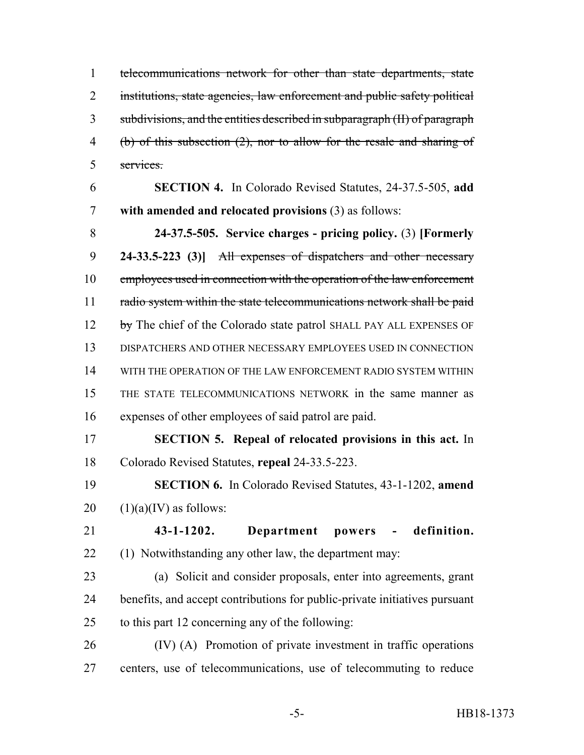telecommunications network for other than state departments, state 2 institutions, state agencies, law enforcement and public safety political subdivisions, and the entities described in subparagraph (II) of paragraph (b) of this subsection (2), nor to allow for the resale and sharing of services.

 **SECTION 4.** In Colorado Revised Statutes, 24-37.5-505, **add with amended and relocated provisions** (3) as follows:

 **24-37.5-505. Service charges - pricing policy.** (3) **[Formerly 24-33.5-223 (3)]** All expenses of dispatchers and other necessary 10 employees used in connection with the operation of the law enforcement 11 radio system within the state telecommunications network shall be paid 12 by The chief of the Colorado state patrol SHALL PAY ALL EXPENSES OF DISPATCHERS AND OTHER NECESSARY EMPLOYEES USED IN CONNECTION WITH THE OPERATION OF THE LAW ENFORCEMENT RADIO SYSTEM WITHIN THE STATE TELECOMMUNICATIONS NETWORK in the same manner as expenses of other employees of said patrol are paid.

 **SECTION 5. Repeal of relocated provisions in this act.** In Colorado Revised Statutes, **repeal** 24-33.5-223.

 **SECTION 6.** In Colorado Revised Statutes, 43-1-1202, **amend**  $20 \quad (1)(a)(IV)$  as follows:

 **43-1-1202. Department powers - definition.** (1) Notwithstanding any other law, the department may:

 (a) Solicit and consider proposals, enter into agreements, grant benefits, and accept contributions for public-private initiatives pursuant to this part 12 concerning any of the following:

 (IV) (A) Promotion of private investment in traffic operations centers, use of telecommunications, use of telecommuting to reduce